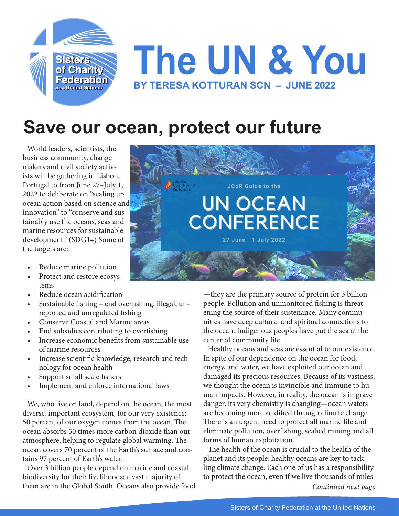

## **The UN & You BY TERESA KOTTURAN SCN – JUNE 2022**

## **Save our ocean, protect our future**

World leaders, scientists, the business community, change makers and civil society activists will be gathering in Lisbon, Portugal to from June 27–July 1, 2022 to deliberate on "scaling up ocean action based on science an[d](https://jcor2030.org/communications-guides/)  innovation" to "conserve and sustainably use the oceans, seas and marine resources for sustainable development." (SDG14) Some of the targets are:

- Reduce marine pollution
- Protect and restore ecosystems
- Reduce ocean acidification
- Sustainable fishing end overfishing, illegal, unreported and unregulated fishing
- Conserve Coastal and Marine areas
- End subsidies contributing to overfishing
- Increase economic benefits from sustainable use of marine resources
- Increase scientific knowledge, research and technology for ocean health
- Support small scale fishers
- Implement and enforce international laws

We, who live on land, depend on the ocean, the most diverse, important ecosystem, for our very existence: 50 percent of our oxygen comes from the ocean. The ocean absorbs 50 times more carbon dioxide than our atmosphere, helping to regulate global warming. The ocean covers 70 percent of the Earth's surface and contains 97 percent of Earth's water.

Over 3 billion people depend on marine and coastal biodiversity for their livelihoods; a vast majority of them are in the Global South. Oceans also provide food



—they are the primary source of protein for 3 billion people. Pollution and unmonitored fishing is threatening the source of their sustenance. Many communities have deep cultural and spiritual connections to the ocean. Indigenous peoples have put the sea at the center of community life.

Healthy oceans and seas are essential to our existence. In spite of our dependence on the ocean for food, energy, and water, we have exploited our ocean and damaged its precious resources. Because of its vastness, we thought the ocean is invincible and immune to human impacts. However, in reality, the ocean is in grave danger, its very chemistry is changing—ocean waters are becoming more acidified through climate change. There is an urgent need to protect all marine life and eliminate pollution, overfishing, seabed mining and all forms of human exploitation.

*Continued next page* The health of the ocean is crucial to the health of the planet and its people; healthy oceans are key to tackling climate change. Each one of us has a responsibility to protect the ocean, even if we live thousands of miles